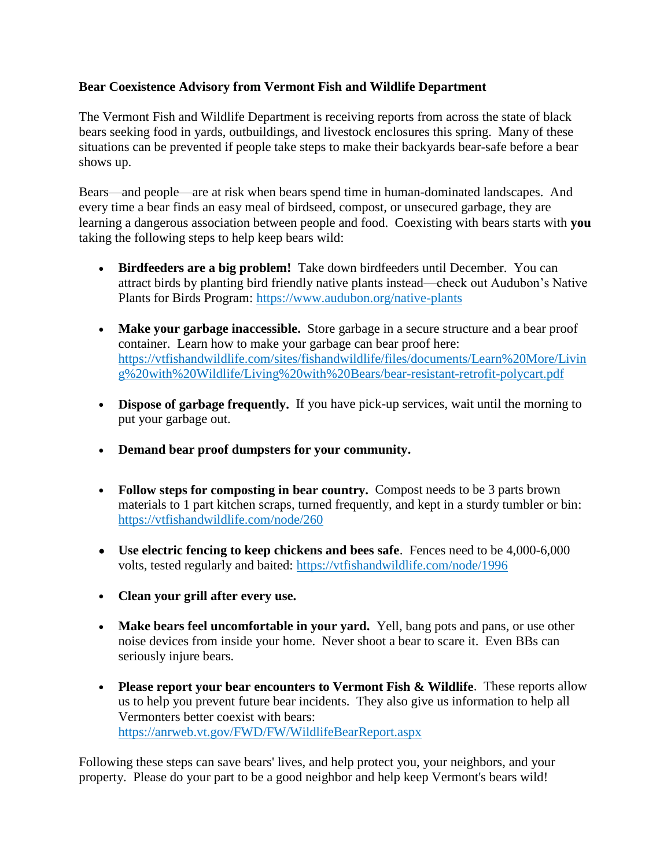## **Bear Coexistence Advisory from Vermont Fish and Wildlife Department**

The Vermont Fish and Wildlife Department is receiving reports from across the state of black bears seeking food in yards, outbuildings, and livestock enclosures this spring. Many of these situations can be prevented if people take steps to make their backyards bear-safe before a bear shows up.

Bears—and people—are at risk when bears spend time in human-dominated landscapes. And every time a bear finds an easy meal of birdseed, compost, or unsecured garbage, they are learning a dangerous association between people and food. Coexisting with bears starts with **you** taking the following steps to help keep bears wild:

- **Birdfeeders are a big problem!** Take down birdfeeders until December. You can attract birds by planting bird friendly native plants instead—check out Audubon's Native Plants for Birds Program:<https://www.audubon.org/native-plants>
- Make your garbage inaccessible. Store garbage in a secure structure and a bear proof container. Learn how to make your garbage can bear proof here: [https://vtfishandwildlife.com/sites/fishandwildlife/files/documents/Learn%20More/Livin](https://vtfishandwildlife.com/sites/fishandwildlife/files/documents/Learn%20More/Living%20with%20Wildlife/Living%20with%20Bears/bear-resistant-retrofit-polycart.pdf) [g%20with%20Wildlife/Living%20with%20Bears/bear-resistant-retrofit-polycart.pdf](https://vtfishandwildlife.com/sites/fishandwildlife/files/documents/Learn%20More/Living%20with%20Wildlife/Living%20with%20Bears/bear-resistant-retrofit-polycart.pdf)
- **Dispose of garbage frequently.** If you have pick-up services, wait until the morning to put your garbage out.
- **Demand bear proof dumpsters for your community.**
- **Follow steps for composting in bear country.** Compost needs to be 3 parts brown materials to 1 part kitchen scraps, turned frequently, and kept in a sturdy tumbler or bin: <https://vtfishandwildlife.com/node/260>
- **Use electric fencing to keep chickens and bees safe**.Fences need to be 4,000-6,000 volts, tested regularly and baited: <https://vtfishandwildlife.com/node/1996>
- **Clean your grill after every use.**
- **Make bears feel uncomfortable in your yard.** Yell, bang pots and pans, or use other noise devices from inside your home. Never shoot a bear to scare it. Even BBs can seriously injure bears.
- **Please report your bear encounters to Vermont Fish & Wildlife**. These reports allow us to help you prevent future bear incidents. They also give us information to help all Vermonters better coexist with bears: <https://anrweb.vt.gov/FWD/FW/WildlifeBearReport.aspx>

Following these steps can save bears' lives, and help protect you, your neighbors, and your property. Please do your part to be a good neighbor and help keep Vermont's bears wild!